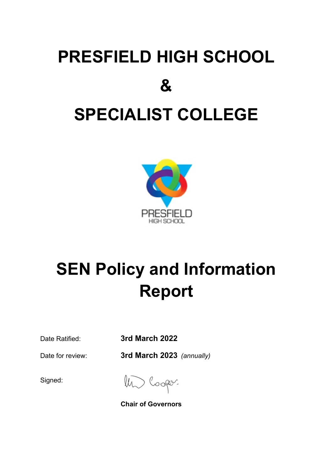# **PRESFIELD HIGH SCHOOL & SPECIALIST COLLEGE**



# **SEN Policy and Information Report**

Date Ratified: **3rd March 2022**

Date for review: **3rd March 2023** *(annually)*

Signed:

Un Cooper

**Chair of Governors**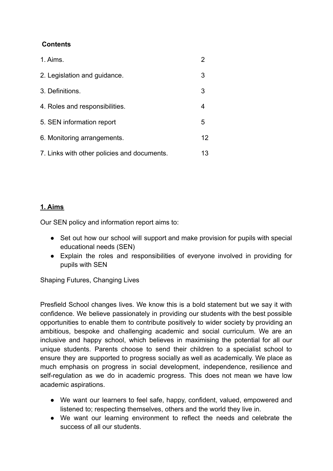# **Contents**

| 1. Aims.                                    |    |
|---------------------------------------------|----|
| 2. Legislation and guidance.                | 3  |
| 3. Definitions.                             | 3  |
| 4. Roles and responsibilities.              | 4  |
| 5. SEN information report                   | 5  |
| 6. Monitoring arrangements.                 | 12 |
| 7. Links with other policies and documents. | 13 |

# **1. Aims**

Our SEN policy and information report aims to:

- Set out how our school will support and make provision for pupils with special educational needs (SEN)
- Explain the roles and responsibilities of everyone involved in providing for pupils with SEN

Shaping Futures, Changing Lives

Presfield School changes lives. We know this is a bold statement but we say it with confidence. We believe passionately in providing our students with the best possible opportunities to enable them to contribute positively to wider society by providing an ambitious, bespoke and challenging academic and social curriculum. We are an inclusive and happy school, which believes in maximising the potential for all our unique students. Parents choose to send their children to a specialist school to ensure they are supported to progress socially as well as academically. We place as much emphasis on progress in social development, independence, resilience and self-regulation as we do in academic progress. This does not mean we have low academic aspirations.

- We want our learners to feel safe, happy, confident, valued, empowered and listened to; respecting themselves, others and the world they live in.
- We want our learning environment to reflect the needs and celebrate the success of all our students.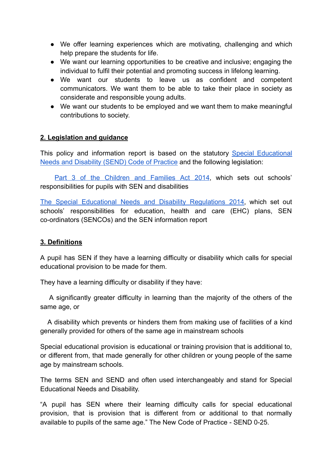- We offer learning experiences which are motivating, challenging and which help prepare the students for life.
- We want our learning opportunities to be creative and inclusive; engaging the individual to fulfil their potential and promoting success in lifelong learning.
- We want our students to leave us as confident and competent communicators. We want them to be able to take their place in society as considerate and responsible young adults.
- We want our students to be employed and we want them to make meaningful contributions to society.

#### **2. Legislation and guidance**

This policy and information report is based on the statutory Special [Educational](https://www.gov.uk/government/uploads/system/uploads/attachment_data/file/398815/SEND_Code_of_Practice_January_2015.pdf) [Needs and Disability \(SEND\) Code of Practice](https://www.gov.uk/government/uploads/system/uploads/attachment_data/file/398815/SEND_Code_of_Practice_January_2015.pdf) and the following legislation:

Part 3 of the [Children](http://www.legislation.gov.uk/ukpga/2014/6/part/3) and Families Act 2014, which sets out schools' responsibilities for pupils with SEN and disabilities

The Special Educational Needs and Disability [Regulations](http://www.legislation.gov.uk/uksi/2014/1530/contents/made) 2014, which set out schools' responsibilities for education, health and care (EHC) plans, SEN co-ordinators (SENCOs) and the SEN information report

#### **3. Definitions**

A pupil has SEN if they have a learning difficulty or disability which calls for special educational provision to be made for them.

They have a learning difficulty or disability if they have:

A significantly greater difficulty in learning than the majority of the others of the same age, or

A disability which prevents or hinders them from making use of facilities of a kind generally provided for others of the same age in mainstream schools

Special educational provision is educational or training provision that is additional to, or different from, that made generally for other children or young people of the same age by mainstream schools.

The terms SEN and SEND and often used interchangeably and stand for Special Educational Needs and Disability.

"A pupil has SEN where their learning difficulty calls for special educational provision, that is provision that is different from or additional to that normally available to pupils of the same age." The New Code of Practice - SEND 0-25.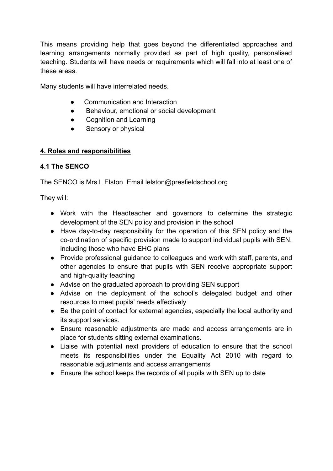This means providing help that goes beyond the differentiated approaches and learning arrangements normally provided as part of high quality, personalised teaching. Students will have needs or requirements which will fall into at least one of these areas.

Many students will have interrelated needs.

- Communication and Interaction
- Behaviour, emotional or social development
- Cognition and Learning
- Sensory or physical

# **4. Roles and responsibilities**

# **4.1 The SENCO**

The SENCO is Mrs L Elston Email lelston@presfieldschool.org

They will:

- Work with the Headteacher and governors to determine the strategic development of the SEN policy and provision in the school
- Have day-to-day responsibility for the operation of this SEN policy and the co-ordination of specific provision made to support individual pupils with SEN, including those who have EHC plans
- Provide professional guidance to colleagues and work with staff, parents, and other agencies to ensure that pupils with SEN receive appropriate support and high-quality teaching
- Advise on the graduated approach to providing SEN support
- Advise on the deployment of the school's delegated budget and other resources to meet pupils' needs effectively
- Be the point of contact for external agencies, especially the local authority and its support services.
- Ensure reasonable adjustments are made and access arrangements are in place for students sitting external examinations.
- Liaise with potential next providers of education to ensure that the school meets its responsibilities under the Equality Act 2010 with regard to reasonable adjustments and access arrangements
- Ensure the school keeps the records of all pupils with SEN up to date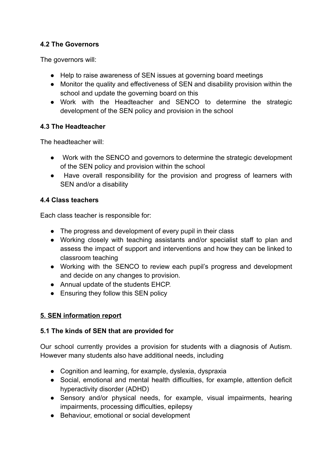# **4.2 The Governors**

The governors will:

- Help to raise awareness of SEN issues at governing board meetings
- Monitor the quality and effectiveness of SEN and disability provision within the school and update the governing board on this
- Work with the Headteacher and SENCO to determine the strategic development of the SEN policy and provision in the school

# **4.3 The Headteacher**

The headteacher will:

- Work with the SENCO and governors to determine the strategic development of the SEN policy and provision within the school
- Have overall responsibility for the provision and progress of learners with SEN and/or a disability

# **4.4 Class teachers**

Each class teacher is responsible for:

- The progress and development of every pupil in their class
- Working closely with teaching assistants and/or specialist staff to plan and assess the impact of support and interventions and how they can be linked to classroom teaching
- Working with the SENCO to review each pupil's progress and development and decide on any changes to provision.
- Annual update of the students EHCP.
- Ensuring they follow this SEN policy

# **5. SEN information report**

# **5.1 The kinds of SEN that are provided for**

Our school currently provides a provision for students with a diagnosis of Autism. However many students also have additional needs, including

- Cognition and learning, for example, dyslexia, dyspraxia
- Social, emotional and mental health difficulties, for example, attention deficit hyperactivity disorder (ADHD)
- Sensory and/or physical needs, for example, visual impairments, hearing impairments, processing difficulties, epilepsy
- Behaviour, emotional or social development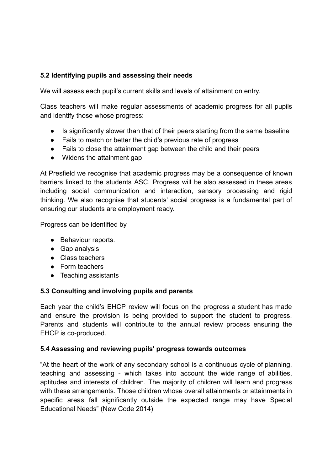# **5.2 Identifying pupils and assessing their needs**

We will assess each pupil's current skills and levels of attainment on entry.

Class teachers will make regular assessments of academic progress for all pupils and identify those whose progress:

- Is significantly slower than that of their peers starting from the same baseline
- Fails to match or better the child's previous rate of progress
- Fails to close the attainment gap between the child and their peers
- Widens the attainment gap

At Presfield we recognise that academic progress may be a consequence of known barriers linked to the students ASC. Progress will be also assessed in these areas including social communication and interaction, sensory processing and rigid thinking. We also recognise that students' social progress is a fundamental part of ensuring our students are employment ready.

Progress can be identified by

- Behaviour reports.
- Gap analysis
- Class teachers
- Form teachers
- Teaching assistants

#### **5.3 Consulting and involving pupils and parents**

Each year the child's EHCP review will focus on the progress a student has made and ensure the provision is being provided to support the student to progress. Parents and students will contribute to the annual review process ensuring the EHCP is co-produced.

#### **5.4 Assessing and reviewing pupils' progress towards outcomes**

"At the heart of the work of any secondary school is a continuous cycle of planning, teaching and assessing - which takes into account the wide range of abilities, aptitudes and interests of children. The majority of children will learn and progress with these arrangements. Those children whose overall attainments or attainments in specific areas fall significantly outside the expected range may have Special Educational Needs" (New Code 2014)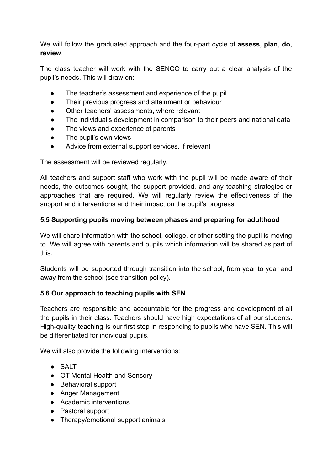We will follow the graduated approach and the four-part cycle of **assess, plan, do, review**.

The class teacher will work with the SENCO to carry out a clear analysis of the pupil's needs. This will draw on:

- The teacher's assessment and experience of the pupil
- Their previous progress and attainment or behaviour
- Other teachers' assessments, where relevant
- The individual's development in comparison to their peers and national data
- The views and experience of parents
- The pupil's own views
- Advice from external support services, if relevant

The assessment will be reviewed regularly.

All teachers and support staff who work with the pupil will be made aware of their needs, the outcomes sought, the support provided, and any teaching strategies or approaches that are required. We will regularly review the effectiveness of the support and interventions and their impact on the pupil's progress.

#### **5.5 Supporting pupils moving between phases and preparing for adulthood**

We will share information with the school, college, or other setting the pupil is moving to. We will agree with parents and pupils which information will be shared as part of this.

Students will be supported through transition into the school, from year to year and away from the school (see transition policy).

#### **5.6 Our approach to teaching pupils with SEN**

Teachers are responsible and accountable for the progress and development of all the pupils in their class. Teachers should have high expectations of all our students. High-quality teaching is our first step in responding to pupils who have SEN. This will be differentiated for individual pupils.

We will also provide the following interventions:

- SALT
- OT Mental Health and Sensory
- Behavioral support
- Anger Management
- Academic interventions
- Pastoral support
- Therapy/emotional support animals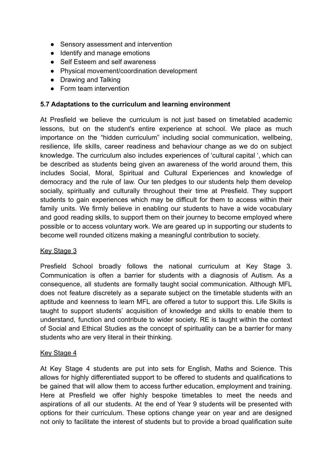- Sensory assessment and intervention
- Identify and manage emotions
- Self Esteem and self awareness
- Physical movement/coordination development
- Drawing and Talking
- Form team intervention

#### **5.7 Adaptations to the curriculum and learning environment**

At Presfield we believe the curriculum is not just based on timetabled academic lessons, but on the student's entire experience at school. We place as much importance on the "hidden curriculum" including social communication, wellbeing, resilience, life skills, career readiness and behaviour change as we do on subject knowledge. The curriculum also includes experiences of 'cultural capital ', which can be described as students being given an awareness of the world around them, this includes Social, Moral, Spiritual and Cultural Experiences and knowledge of democracy and the rule of law. Our ten pledges to our students help them develop socially, spiritually and culturally throughout their time at Presfield. They support students to gain experiences which may be difficult for them to access within their family units. We firmly believe in enabling our students to have a wide vocabulary and good reading skills, to support them on their journey to become employed where possible or to access voluntary work. We are geared up in supporting our students to become well rounded citizens making a meaningful contribution to society.

#### Key Stage 3

Presfield School broadly follows the national curriculum at Key Stage 3. Communication is often a barrier for students with a diagnosis of Autism. As a consequence, all students are formally taught social communication. Although MFL does not feature discretely as a separate subject on the timetable students with an aptitude and keenness to learn MFL are offered a tutor to support this. Life Skills is taught to support students' acquisition of knowledge and skills to enable them to understand, function and contribute to wider society. RE is taught within the context of Social and Ethical Studies as the concept of spirituality can be a barrier for many students who are very literal in their thinking.

#### Key Stage 4

At Key Stage 4 students are put into sets for English, Maths and Science. This allows for highly differentiated support to be offered to students and qualifications to be gained that will allow them to access further education, employment and training. Here at Presfield we offer highly bespoke timetables to meet the needs and aspirations of all our students. At the end of Year 9 students will be presented with options for their curriculum. These options change year on year and are designed not only to facilitate the interest of students but to provide a broad qualification suite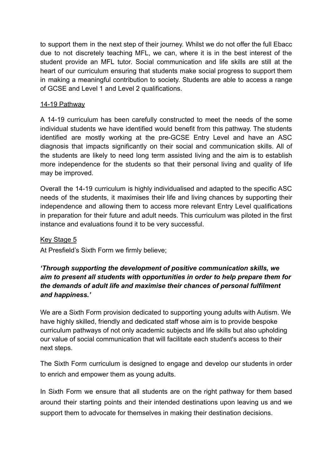to support them in the next step of their journey. Whilst we do not offer the full Ebacc due to not discretely teaching MFL, we can, where it is in the best interest of the student provide an MFL tutor. Social communication and life skills are still at the heart of our curriculum ensuring that students make social progress to support them in making a meaningful contribution to society. Students are able to access a range of GCSE and Level 1 and Level 2 qualifications.

#### 14-19 Pathway

A 14-19 curriculum has been carefully constructed to meet the needs of the some individual students we have identified would benefit from this pathway. The students identified are mostly working at the pre-GCSE Entry Level and have an ASC diagnosis that impacts significantly on their social and communication skills. All of the students are likely to need long term assisted living and the aim is to establish more independence for the students so that their personal living and quality of life may be improved.

Overall the 14-19 curriculum is highly individualised and adapted to the specific ASC needs of the students, it maximises their life and living chances by supporting their independence and allowing them to access more relevant Entry Level qualifications in preparation for their future and adult needs. This curriculum was piloted in the first instance and evaluations found it to be very successful.

#### Key Stage 5

At Presfield's Sixth Form we firmly believe;

# *'Through supporting the development of positive communication skills, we aim to present all students with opportunities in order to help prepare them for the demands of adult life and maximise their chances of personal fulfilment and happiness.'*

We are a Sixth Form provision dedicated to supporting young adults with Autism. We have highly skilled, friendly and dedicated staff whose aim is to provide bespoke curriculum pathways of not only academic subjects and life skills but also upholding our value of social communication that will facilitate each student's access to their next steps.

The Sixth Form curriculum is designed to engage and develop our students in order to enrich and empower them as young adults.

In Sixth Form we ensure that all students are on the right pathway for them based around their starting points and their intended destinations upon leaving us and we support them to advocate for themselves in making their destination decisions.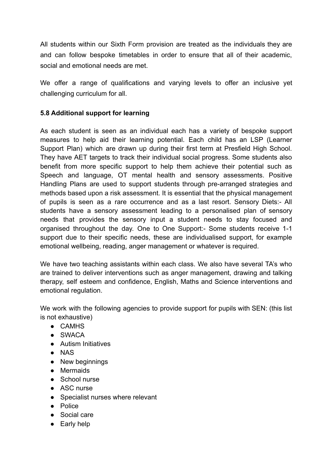All students within our Sixth Form provision are treated as the individuals they are and can follow bespoke timetables in order to ensure that all of their academic, social and emotional needs are met.

We offer a range of qualifications and varying levels to offer an inclusive yet challenging curriculum for all.

# **5.8 Additional support for learning**

As each student is seen as an individual each has a variety of bespoke support measures to help aid their learning potential. Each child has an LSP (Learner Support Plan) which are drawn up during their first term at Presfield High School. They have AET targets to track their individual social progress. Some students also benefit from more specific support to help them achieve their potential such as Speech and language, OT mental health and sensory assessments. Positive Handling Plans are used to support students through pre-arranged strategies and methods based upon a risk assessment. It is essential that the physical management of pupils is seen as a rare occurrence and as a last resort. Sensory Diets:- All students have a sensory assessment leading to a personalised plan of sensory needs that provides the sensory input a student needs to stay focused and organised throughout the day. One to One Support:- Some students receive 1-1 support due to their specific needs, these are individualised support, for example emotional wellbeing, reading, anger management or whatever is required.

We have two teaching assistants within each class. We also have several TA's who are trained to deliver interventions such as anger management, drawing and talking therapy, self esteem and confidence, English, Maths and Science interventions and emotional regulation.

We work with the following agencies to provide support for pupils with SEN: (this list is not exhaustive)

- CAMHS
- $\bullet$  SWACA
- Autism Initiatives
- NAS
- New beginnings
- Mermaids
- School nurse
- ASC nurse
- Specialist nurses where relevant
- Police
- Social care
- Early help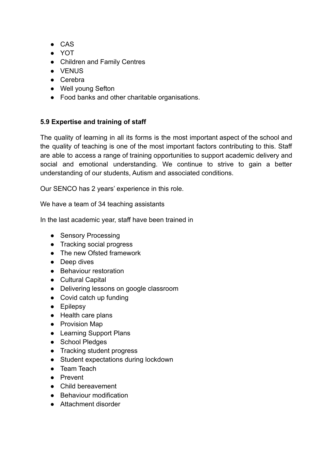- CAS
- YOT
- Children and Family Centres
- VENUS
- Cerebra
- Well young Sefton
- Food banks and other charitable organisations.

# **5.9 Expertise and training of staff**

The quality of learning in all its forms is the most important aspect of the school and the quality of teaching is one of the most important factors contributing to this. Staff are able to access a range of training opportunities to support academic delivery and social and emotional understanding. We continue to strive to gain a better understanding of our students, Autism and associated conditions.

Our SENCO has 2 years' experience in this role.

We have a team of 34 teaching assistants

In the last academic year, staff have been trained in

- Sensory Processing
- Tracking social progress
- The new Ofsted framework
- Deep dives
- Behaviour restoration
- Cultural Capital
- Delivering lessons on google classroom
- Covid catch up funding
- Epilepsy
- Health care plans
- Provision Map
- Learning Support Plans
- School Pledges
- Tracking student progress
- Student expectations during lockdown
- Team Teach
- Prevent
- Child bereavement
- Behaviour modification
- Attachment disorder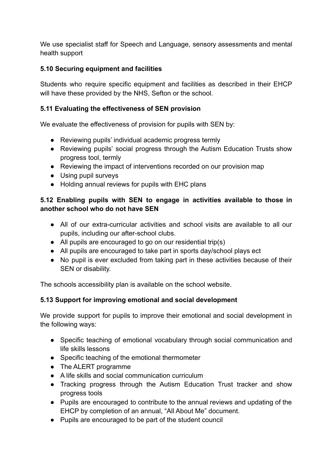We use specialist staff for Speech and Language, sensory assessments and mental health support

# **5.10 Securing equipment and facilities**

Students who require specific equipment and facilities as described in their EHCP will have these provided by the NHS, Sefton or the school.

#### **5.11 Evaluating the effectiveness of SEN provision**

We evaluate the effectiveness of provision for pupils with SEN by:

- Reviewing pupils' individual academic progress termly
- Reviewing pupils' social progress through the Autism Education Trusts show progress tool, termly
- Reviewing the impact of interventions recorded on our provision map
- Using pupil surveys
- Holding annual reviews for pupils with EHC plans

# **5.12 Enabling pupils with SEN to engage in activities available to those in another school who do not have SEN**

- All of our extra-curricular activities and school visits are available to all our pupils, including our after-school clubs.
- All pupils are encouraged to go on our residential trip(s)
- All pupils are encouraged to take part in sports day/school plays ect
- No pupil is ever excluded from taking part in these activities because of their SEN or disability.

The schools accessibility plan is available on the school website.

# **5.13 Support for improving emotional and social development**

We provide support for pupils to improve their emotional and social development in the following ways:

- Specific teaching of emotional vocabulary through social communication and life skills lessons
- Specific teaching of the emotional thermometer
- The ALERT programme
- A life skills and social communication curriculum
- Tracking progress through the Autism Education Trust tracker and show progress tools
- Pupils are encouraged to contribute to the annual reviews and updating of the EHCP by completion of an annual, "All About Me" document.
- Pupils are encouraged to be part of the student council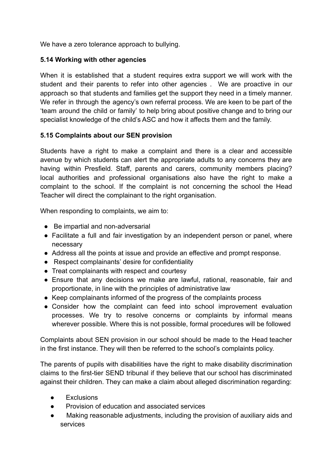We have a zero tolerance approach to bullying.

# **5.14 Working with other agencies**

When it is established that a student requires extra support we will work with the student and their parents to refer into other agencies . We are proactive in our approach so that students and families get the support they need in a timely manner. We refer in through the agency's own referral process. We are keen to be part of the 'team around the child or family' to help bring about positive change and to bring our specialist knowledge of the child's ASC and how it affects them and the family.

# **5.15 Complaints about our SEN provision**

Students have a right to make a complaint and there is a clear and accessible avenue by which students can alert the appropriate adults to any concerns they are having within Presfield. Staff, parents and carers, community members placing? local authorities and professional organisations also have the right to make a complaint to the school. If the complaint is not concerning the school the Head Teacher will direct the complainant to the right organisation.

When responding to complaints, we aim to:

- Be impartial and non-adversarial
- Facilitate a full and fair investigation by an independent person or panel, where necessary
- Address all the points at issue and provide an effective and prompt response.
- Respect complainants' desire for confidentiality
- Treat complainants with respect and courtesy
- Ensure that any decisions we make are lawful, rational, reasonable, fair and proportionate, in line with the principles of administrative law
- Keep complainants informed of the progress of the complaints process
- Consider how the complaint can feed into school improvement evaluation processes. We try to resolve concerns or complaints by informal means wherever possible. Where this is not possible, formal procedures will be followed

Complaints about SEN provision in our school should be made to the Head teacher in the first instance. They will then be referred to the school's complaints policy.

The parents of pupils with disabilities have the right to make disability discrimination claims to the first-tier SEND tribunal if they believe that our school has discriminated against their children. They can make a claim about alleged discrimination regarding:

- **Exclusions**
- Provision of education and associated services
- Making reasonable adjustments, including the provision of auxiliary aids and services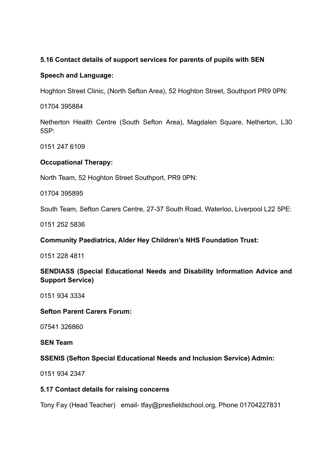#### **5.16 Contact details of support services for parents of pupils with SEN**

#### **Speech and Language:**

Hoghton Street Clinic, (North Sefton Area), 52 Hoghton Street, Southport PR9 0PN:

01704 395884

Netherton Health Centre (South Sefton Area), Magdalen Square, Netherton, L30 5SP:

0151 247 6109

# **Occupational Therapy:**

North Team, 52 Hoghton Street Southport, PR9 0PN:

01704 395895

South Team, Sefton Carers Centre, 27-37 South Road, Waterloo, Liverpool L22 5PE:

0151 252 5836

# **Community Paediatrics, Alder Hey Children's NHS Foundation Trust:**

0151 228 4811

# **SENDIASS (Special Educational Needs and Disability Information Advice and Support Service)**

0151 934 3334

#### **Sefton Parent Carers Forum:**

07541 326860

#### **SEN Team**

# **SSENIS (Sefton Special Educational Needs and Inclusion Service) Admin:**

0151 934 2347

#### **5.17 Contact details for raising concerns**

Tony Fay (Head Teacher) email- tfay@presfieldschool.org, Phone 01704227831